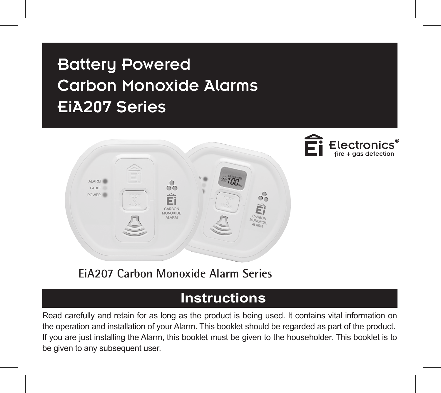# Battery Powered Carbon Monoxide Alarms EiA207 Series





**EiA207 Carbon Monoxide Alarm Series**

# **Instructions**

Read carefully and retain for as long as the product is being used. It contains vital information on the operation and installation of your Alarm. This booklet should be regarded as part of the product. If you are just installing the Alarm, this booklet must be given to the householder. This booklet is to be given to any subsequent user.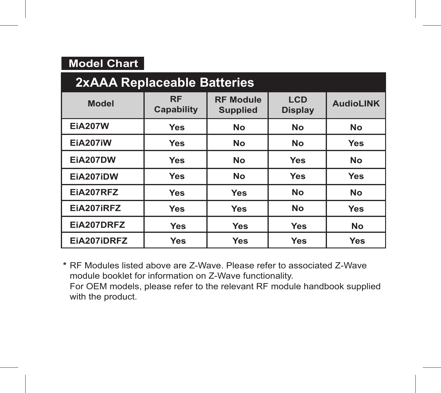| <b>Model Chart</b> |  |
|--------------------|--|
|                    |  |

| 2xAAA Replaceable Batteries |                         |                                     |                              |                  |
|-----------------------------|-------------------------|-------------------------------------|------------------------------|------------------|
| <b>Model</b>                | <b>RF</b><br>Capability | <b>RF Module</b><br><b>Supplied</b> | <b>LCD</b><br><b>Display</b> | <b>AudioLINK</b> |
| <b>EiA207W</b>              | Yes                     | <b>No</b>                           | No                           | <b>No</b>        |
| <b>EiA207iW</b>             | Yes                     | <b>No</b>                           | No                           | Yes              |
| <b>EiA207DW</b>             | Yes                     | <b>No</b>                           | Yes                          | <b>No</b>        |
| EiA207iDW                   | Yes                     | <b>No</b>                           | Yes                          | Yes              |
| EiA207RFZ                   | Yes                     | <b>Yes</b>                          | No                           | <b>No</b>        |
| EiA207iRFZ                  | Yes                     | Yes                                 | No                           | Yes              |
| EiA207DRFZ                  | Yes                     | <b>Yes</b>                          | Yes                          | <b>No</b>        |
| EiA207iDRFZ                 | Yes                     | Yes                                 | Yes                          | Yes              |

**\*** RF Modules listed above are Z-Wave. Please refer to associated Z-Wave module booklet for information on Z-Wave functionality. For OEM models, please refer to the relevant RF module handbook supplied with the product.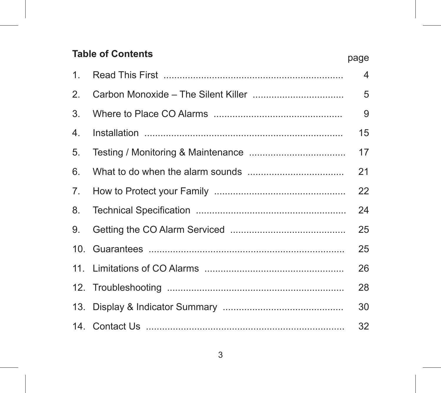#### **Table of Contents**

|    | payu |
|----|------|
| 1. | 4    |
| 2. | 5    |
| 3. | 9    |
| 4. | 15   |
| 5. | 17   |
| 6. | 21   |
| 7. | 22   |
| 8. | 24   |
| 9. | 25   |
|    | 25   |
|    | 26   |
|    | 28   |
|    | 30   |
|    | 32   |

page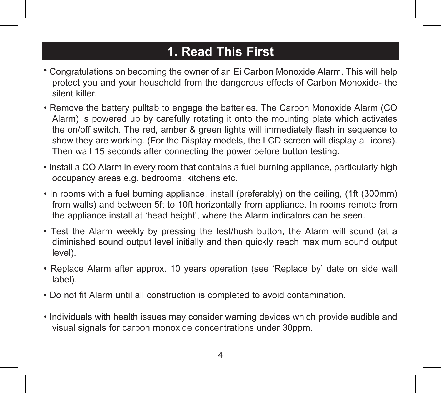# **1. Read This First**

- Congratulations on becoming the owner of an Ei Carbon Monoxide Alarm. This will help protect you and your household from the dangerous effects of Carbon Monoxide- the silent killer.
- Remove the battery pulltab to engage the batteries. The Carbon Monoxide Alarm (CO Alarm) is powered up by carefully rotating it onto the mounting plate which activates the on/off switch. The red, amber & green lights will immediately flash in sequence to show they are working. (For the Display models, the LCD screen will display all icons). Then wait 15 seconds after connecting the power before button testing.
- Install a CO Alarm in every room that contains a fuel burning appliance, particularly high occupancy areas e.g. bedrooms, kitchens etc.
- In rooms with a fuel burning appliance, install (preferably) on the ceiling, (1ft (300mm) from walls) and between 5ft to 10ft horizontally from appliance. In rooms remote from the appliance install at 'head height', where the Alarm indicators can be seen.
- Test the Alarm weekly by pressing the test/hush button, the Alarm will sound (at a diminished sound output level initially and then quickly reach maximum sound output level).
- Replace Alarm after approx. 10 years operation (see 'Replace by' date on side wall label).
- Do not fit Alarm until all construction is completed to avoid contamination.
- Individuals with health issues may consider warning devices which provide audible and visual signals for carbon monoxide concentrations under 30ppm.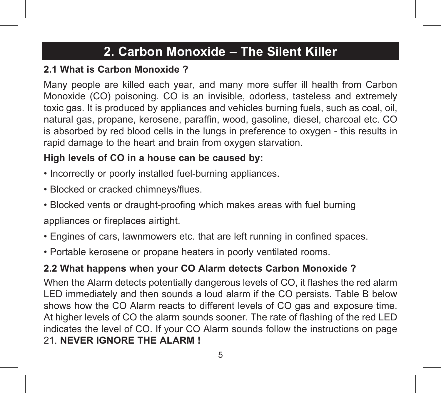# **2. Carbon Monoxide – The Silent Killer**

### **2.1 What is Carbon Monoxide ?**

Many people are killed each year, and many more suffer ill health from Carbon Monoxide (CO) poisoning. CO is an invisible, odorless, tasteless and extremely toxic gas. It is produced by appliances and vehicles burning fuels, such as coal, oil, natural gas, propane, kerosene, paraffin, wood, gasoline, diesel, charcoal etc. CO is absorbed by red blood cells in the lungs in preference to oxygen - this results in rapid damage to the heart and brain from oxygen starvation.

### **High levels of CO in a house can be caused by:**

- Incorrectly or poorly installed fuel-burning appliances.
- Blocked or cracked chimneys/flues.
- Blocked vents or draught-proofing which makes areas with fuel burning appliances or fireplaces airtight.
- Engines of cars, lawnmowers etc. that are left running in confined spaces.
- Portable kerosene or propane heaters in poorly ventilated rooms.

### **2.2 What happens when your CO Alarm detects Carbon Monoxide ?**

When the Alarm detects potentially dangerous levels of CO, it flashes the red alarm LED immediately and then sounds a loud alarm if the CO persists. Table B below shows how the CO Alarm reacts to different levels of CO gas and exposure time. At higher levels of CO the alarm sounds sooner. The rate of flashing of the red LED indicates the level of CO. If your CO Alarm sounds follow the instructions on page 21. **NEVER IGNORE THE ALARM !**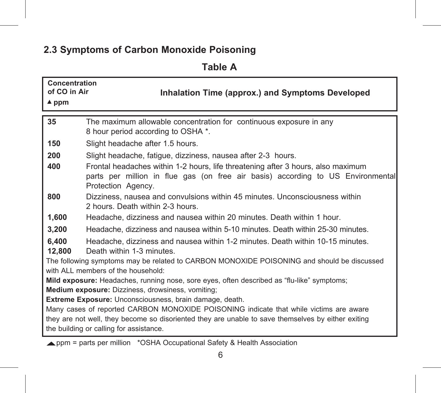### **2.3 Symptoms of Carbon Monoxide Poisoning**

**Table A**

| Concentration<br>of CO in Air | Inhalation Time (approx.) and Symptoms Developed                                                                                                                                                                                        |
|-------------------------------|-----------------------------------------------------------------------------------------------------------------------------------------------------------------------------------------------------------------------------------------|
| $4$ ppm                       |                                                                                                                                                                                                                                         |
| 35                            | The maximum allowable concentration for continuous exposure in any<br>8 hour period according to OSHA *.                                                                                                                                |
| 150                           | Slight headache after 1.5 hours.                                                                                                                                                                                                        |
| 200                           | Slight headache, fatigue, dizziness, nausea after 2-3 hours.                                                                                                                                                                            |
| 400                           | Frontal headaches within 1-2 hours, life threatening after 3 hours, also maximum<br>parts per million in flue gas (on free air basis) according to US Environmental<br>Protection Agency.                                               |
| 800                           | Dizziness, nausea and convulsions within 45 minutes. Unconsciousness within<br>2 hours. Death within 2-3 hours.                                                                                                                         |
| 1,600                         | Headache, dizziness and nausea within 20 minutes. Death within 1 hour.                                                                                                                                                                  |
| 3,200                         | Headache, dizziness and nausea within 5-10 minutes. Death within 25-30 minutes.                                                                                                                                                         |
| 6,400<br>12,800               | Headache, dizziness and nausea within 1-2 minutes. Death within 10-15 minutes.<br>Death within 1-3 minutes.                                                                                                                             |
|                               | The following symptoms may be related to CARBON MONOXIDE POISONING and should be discussed<br>with ALL members of the household:                                                                                                        |
|                               | Mild exposure: Headaches, running nose, sore eyes, often described as "flu-like" symptoms;                                                                                                                                              |
|                               | Medium exposure: Dizziness, drowsiness, vomiting;                                                                                                                                                                                       |
|                               | Extreme Exposure: Unconsciousness, brain damage, death.                                                                                                                                                                                 |
|                               | Many cases of reported CARBON MONOXIDE POISONING indicate that while victims are aware<br>they are not well, they become so disoriented they are unable to save themselves by either exiting<br>the building or calling for assistance. |

ppm = parts per million \*OSHA Occupational Safety & Health Association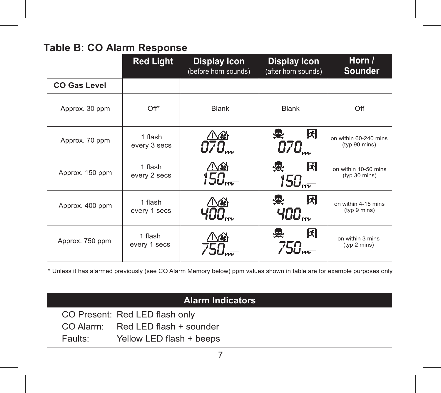### **Table B: CO Alarm Response**

|                     | <b>Red Light</b>        | <b>Display Icon</b><br><b>Display Icon</b><br>(after horn sounds)<br>(before horn sounds) |                                                                | Horn /<br><b>Sounder</b>               |
|---------------------|-------------------------|-------------------------------------------------------------------------------------------|----------------------------------------------------------------|----------------------------------------|
| <b>CO Gas Level</b> |                         |                                                                                           |                                                                |                                        |
| Approx. 30 ppm      | Off*                    | Blank                                                                                     | Blank                                                          | Off                                    |
| Approx. 70 ppm      | 1 flash<br>every 3 secs |                                                                                           | 闲<br>$C7C_{\tiny\textrm{PPW}}$                                 | on within 60-240 mins<br>(typ 90 mins) |
| Approx. 150 ppm     | 1 flash<br>every 2 secs | $\frac{\triangle \mathbin{\circledast}}{150}$                                             | 闲<br>$150_\textrm{\tiny{PEW}}$                                 | on within 10-50 mins<br>(typ 30 mins)  |
| Approx. 400 ppm     | 1 flash<br>every 1 secs |                                                                                           | 闲<br>$\mathcal{A}\mathcal{B}\mathcal{O}_{\textrm{\tiny{new}}}$ | on within 4-15 mins<br>(typ 9 mins)    |
| Approx. 750 ppm     | 1 flash<br>every 1 secs | $\underline{\mathfrak{B}}$                                                                | 因<br>$750_{\tiny{\tiny{\text{PPM}}}}$                          | on within 3 mins<br>(typ 2 mins)       |

\* Unless it has alarmed previously (see CO Alarm Memory below) ppm values shown in table are for example purposes only

|         | <b>Alarm Indicators</b>           |
|---------|-----------------------------------|
|         | CO Present: Red LED flash only    |
|         | CO Alarm: Red LED flash + sounder |
| Faults: | Yellow LED flash + beeps          |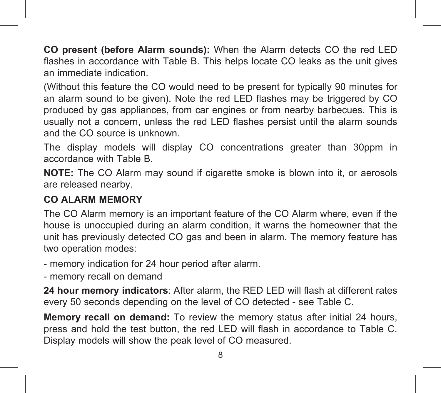**CO present (before Alarm sounds):** When the Alarm detects CO the red LED flashes in accordance with Table B. This helps locate CO leaks as the unit gives an immediate indication.

(Without this feature the CO would need to be present for typically 90 minutes for an alarm sound to be given). Note the red LED flashes may be triggered by CO produced by gas appliances, from car engines or from nearby barbecues. This is usually not a concern, unless the red LED flashes persist until the alarm sounds and the CO source is unknown.

The display models will display CO concentrations greater than 30ppm in accordance with Table B.

**NOTE:** The CO Alarm may sound if cigarette smoke is blown into it, or aerosols are released nearby.

### **CO ALARM MEMORY**

The CO Alarm memory is an important feature of the CO Alarm where, even if the house is unoccupied during an alarm condition, it warns the homeowner that the unit has previously detected CO gas and been in alarm. The memory feature has two operation modes:

- memory indication for 24 hour period after alarm.

- memory recall on demand

**24 hour memory indicators**: After alarm, the RED LED will flash at different rates every 50 seconds depending on the level of CO detected - see Table C.

**Memory recall on demand:** To review the memory status after initial 24 hours, press and hold the test button, the red LED will flash in accordance to Table C. Display models will show the peak level of CO measured.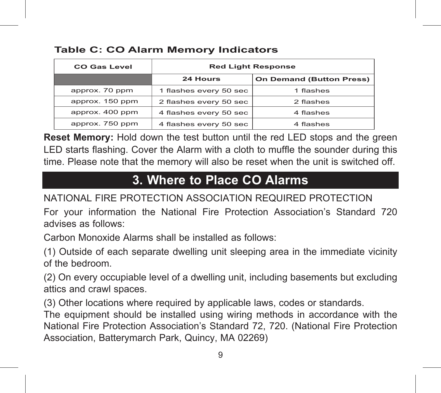| <b>CO Gas Level</b> | <b>Red Light Response</b> |                          |  |
|---------------------|---------------------------|--------------------------|--|
|                     | 24 Hours                  | On Demand (Button Press) |  |
| approx. 70 ppm      | 1 flashes every 50 sec    | 1 flashes                |  |
| approx. 150 ppm     | 2 flashes every 50 sec    | 2 flashes                |  |
| approx. 400 ppm     | 4 flashes every 50 sec    | 4 flashes                |  |
| approx. 750 ppm     | 4 flashes every 50 sec    | 4 flashes                |  |

#### **Table C: CO Alarm Memory Indicators**

**Reset Memory:** Hold down the test button until the red LED stops and the green LED starts flashing. Cover the Alarm with a cloth to muffle the sounder during this time. Please note that the memory will also be reset when the unit is switched off.

# **3. Where to Place CO Alarms**

NATIONAL FIRE PROTECTION ASSOCIATION REQUIRED PROTECTION

For your information the National Fire Protection Association's Standard 720 advises as follows:

Carbon Monoxide Alarms shall be installed as follows:

(1) Outside of each separate dwelling unit sleeping area in the immediate vicinity of the bedroom.

(2) On every occupiable level of a dwelling unit, including basements but excluding attics and crawl spaces.

(3) Other locations where required by applicable laws, codes or standards.

The equipment should be installed using wiring methods in accordance with the National Fire Protection Association's Standard 72, 720. (National Fire Protection Association, Batterymarch Park, Quincy, MA 02269)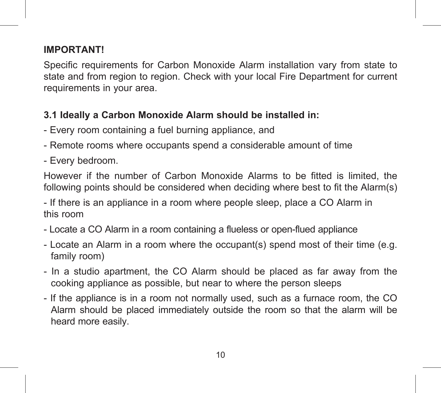### **IMPORTANT!**

Specific requirements for Carbon Monoxide Alarm installation vary from state to state and from region to region. Check with your local Fire Department for current requirements in your area.

### **3.1 Ideally a Carbon Monoxide Alarm should be installed in:**

- Every room containing a fuel burning appliance, and
- Remote rooms where occupants spend a considerable amount of time
- Every bedroom.

However if the number of Carbon Monoxide Alarms to be fitted is limited, the following points should be considered when deciding where best to fit the Alarm(s)

- If there is an appliance in a room where people sleep, place a CO Alarm in this room

- Locate a CO Alarm in a room containing a flueless or open-flued appliance
- Locate an Alarm in a room where the occupant(s) spend most of their time (e.g. family room)
- In a studio apartment, the CO Alarm should be placed as far away from the cooking appliance as possible, but near to where the person sleeps
- If the appliance is in a room not normally used, such as a furnace room, the CO Alarm should be placed immediately outside the room so that the alarm will be heard more easily.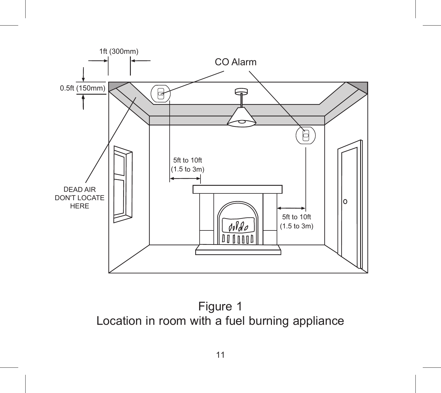

Figure 1 Location in room with a fuel burning appliance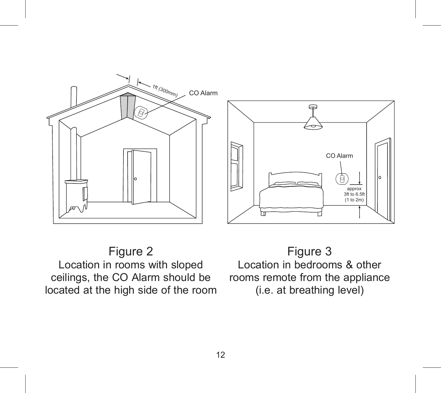



Figure 2 Location in rooms with sloped ceilings, the CO Alarm should be located at the high side of the room

Figure 3 Location in bedrooms & other rooms remote from the appliance (i.e. at breathing level)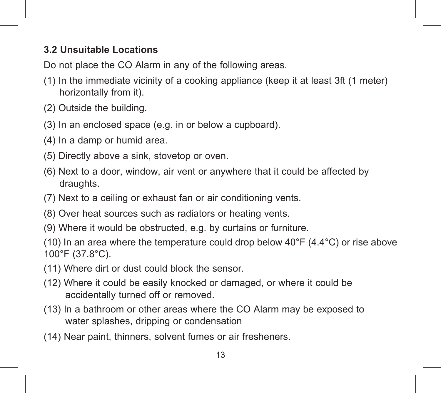### **3.2 Unsuitable Locations**

Do not place the CO Alarm in any of the following areas.

- (1) In the immediate vicinity of a cooking appliance (keep it at least 3ft (1 meter) horizontally from it).
- (2) Outside the building.
- (3) In an enclosed space (e.g. in or below a cupboard).
- (4) In a damp or humid area.
- (5) Directly above a sink, stovetop or oven.
- (6) Next to a door, window, air vent or anywhere that it could be affected by draughts
- (7) Next to a ceiling or exhaust fan or air conditioning vents.
- (8) Over heat sources such as radiators or heating vents.
- (9) Where it would be obstructed, e.g. by curtains or furniture.

(10) In an area where the temperature could drop below  $40^{\circ}$ F ( $4.4^{\circ}$ C) or rise above 100°F (37.8°C).

- (11) Where dirt or dust could block the sensor.
- (12) Where it could be easily knocked or damaged, or where it could be accidentally turned off or removed.
- (13) In a bathroom or other areas where the CO Alarm may be exposed to water splashes, dripping or condensation
- (14) Near paint, thinners, solvent fumes or air fresheners.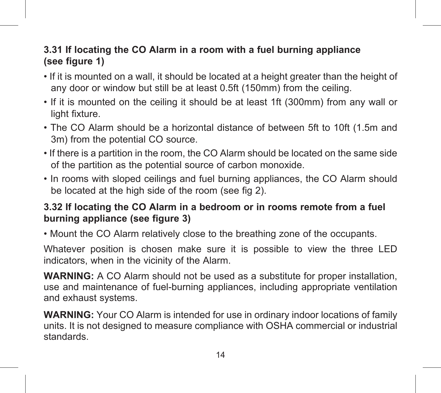#### **3.31 If locating the CO Alarm in a room with a fuel burning appliance (see figure 1)**

- If it is mounted on a wall, it should be located at a height greater than the height of any door or window but still be at least 0.5ft (150mm) from the ceiling.
- If it is mounted on the ceiling it should be at least 1ft (300mm) from any wall or light fixture.
- The CO Alarm should be a horizontal distance of between 5ft to 10ft (1.5m and 3m) from the potential CO source.
- If there is a partition in the room, the CO Alarm should be located on the same side of the partition as the potential source of carbon monoxide.
- In rooms with sloped ceilings and fuel burning appliances, the CO Alarm should be located at the high side of the room (see fig 2).

### **3.32 If locating the CO Alarm in a bedroom or in rooms remote from a fuel burning appliance (see figure 3)**

• Mount the CO Alarm relatively close to the breathing zone of the occupants.

Whatever position is chosen make sure it is possible to view the three LED indicators, when in the vicinity of the Alarm.

**WARNING:** A CO Alarm should not be used as a substitute for proper installation, use and maintenance of fuel-burning appliances, including appropriate ventilation and exhaust systems.

**WARNING:** Your CO Alarm is intended for use in ordinary indoor locations of family units. It is not designed to measure compliance with OSHA commercial or industrial standards.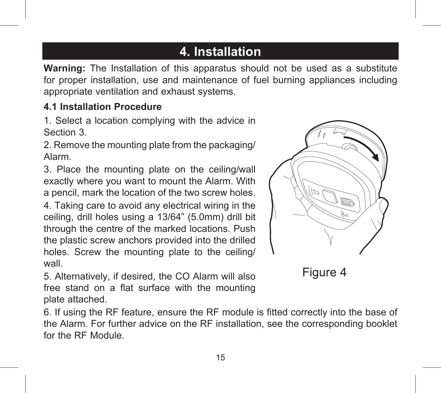# **4. Installation**

**Warning:** The Installation of this apparatus should not be used as a substitute for proper installation, use and maintenance of fuel burning appliances including appropriate ventilation and exhaust systems.

#### **4.1 Installation Procedure**

1. Select a location complying with the advice in Section 3.

2. Remove the mounting plate from the packaging/ Alarm.

3. Place the mounting plate on the ceiling/wall exactly where you want to mount the Alarm. With a pencil, mark the location of the two screw holes.

4. Taking care to avoid any electrical wiring in the ceiling, drill holes using a 13/64" (5.0mm) drill bit through the centre of the marked locations. Push the plastic screw anchors provided into the drilled holes. Screw the mounting plate to the ceiling/ wall.

5. Alternatively, if desired, the CO Alarm will also free stand on a flat surface with the mounting plate attached.





6. If using the RF feature, ensure the RF module is fitted correctly into the base of the Alarm. For further advice on the RF installation, see the corresponding booklet for the RF Module.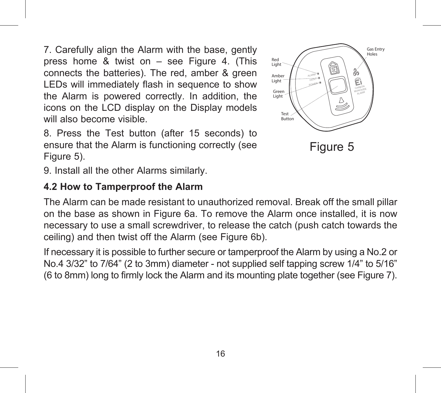7. Carefully align the Alarm with the base, gently press home  $\&$  twist on  $-$  see Figure 4. (This connects the batteries). The red, amber & green LEDs will immediately flash in sequence to show the Alarm is powered correctly. In addition, the icons on the LCD display on the Display models will also become visible.

8. Press the Test button (after 15 seconds) to ensure that the Alarm is functioning correctly (see Figure 5).

9. Install all the other Alarms similarly.

#### **4.2 How to Tamperproof the Alarm**



The Alarm can be made resistant to unauthorized removal. Break off the small pillar on the base as shown in Figure 6a. To remove the Alarm once installed, it is now necessary to use a small screwdriver, to release the catch (push catch towards the ceiling) and then twist off the Alarm (see Figure 6b).

If necessary it is possible to further secure or tamperproof the Alarm by using a No.2 or No.4 3/32" to 7/64" (2 to 3mm) diameter - not supplied self tapping screw 1/4" to 5/16" (6 to 8mm) long to firmly lock the Alarm and its mounting plate together (see Figure 7).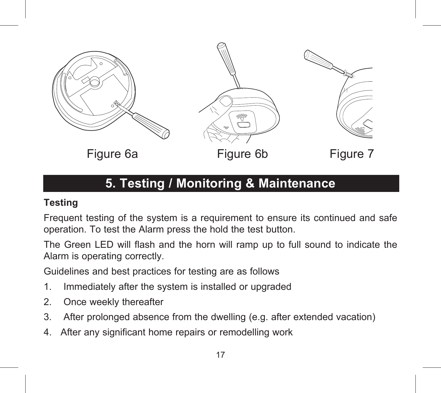

# **5. Testing / Monitoring & Maintenance**

#### **Testing**

Frequent testing of the system is a requirement to ensure its continued and safe operation. To test the Alarm press the hold the test button.

The Green LED will flash and the horn will ramp up to full sound to indicate the Alarm is operating correctly.

Guidelines and best practices for testing are as follows

- 1. Immediately after the system is installed or upgraded
- 2. Once weekly thereafter
- 3. After prolonged absence from the dwelling (e.g. after extended vacation)
- 4. After any significant home repairs or remodelling work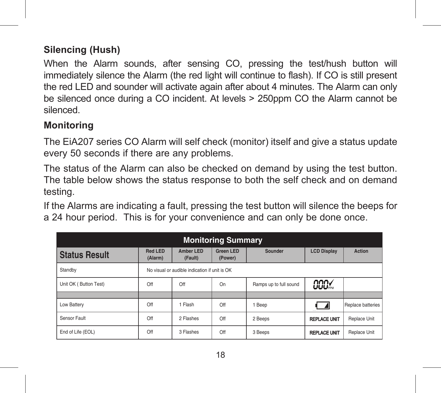### **Silencing (Hush)**

When the Alarm sounds, after sensing CO, pressing the test/hush button will immediately silence the Alarm (the red light will continue to flash). If CO is still present the red LED and sounder will activate again after about 4 minutes. The Alarm can only be silenced once during a CO incident. At levels > 250ppm CO the Alarm cannot be silenced.

#### **Monitoring**

The EiA207 series CO Alarm will self check (monitor) itself and give a status update every 50 seconds if there are any problems.

The status of the Alarm can also be checked on demand by using the test button. The table below shows the status response to both the self check and on demand testing.

If the Alarms are indicating a fault, pressing the test button will silence the beeps for a 24 hour period. This is for your convenience and can only be done once.

| <b>Monitoring Summary</b> |                                               |                      |                             |                        |                     |                   |
|---------------------------|-----------------------------------------------|----------------------|-----------------------------|------------------------|---------------------|-------------------|
| <b>Status Result</b>      | Red LED<br>(Alarm)                            | Amber LED<br>(Fault) | <b>Green LED</b><br>(Power) | Sounder                | <b>LCD Display</b>  | <b>Action</b>     |
| Standby                   | No visual or audible indication if unit is OK |                      |                             |                        |                     |                   |
| Unit OK (Button Test)     | Off                                           | Off                  | On                          | Ramps up to full sound | <b>CCCX</b>         |                   |
|                           |                                               |                      |                             |                        |                     |                   |
| Low Battery               | Off                                           | 1 Flash              | Off                         | 1 Beep                 |                     | Replace batteries |
| Sensor Fault              | Off                                           | 2 Flashes            | Off                         | 2 Beeps                | <b>REPLACE UNIT</b> | Replace Unit      |
| End of Life (EOL)         | Off                                           | 3 Flashes            | Off                         | 3 Beeps                | <b>REPLACE UNIT</b> | Replace Unit      |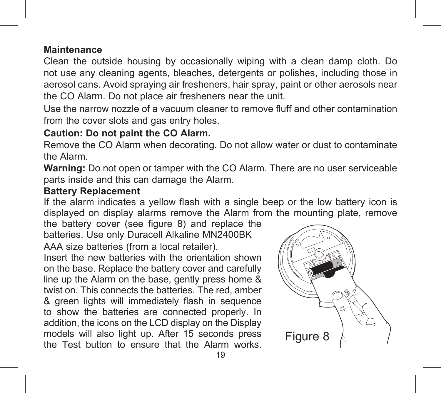#### **Maintenance**

Clean the outside housing by occasionally wiping with a clean damp cloth. Do not use any cleaning agents, bleaches, detergents or polishes, including those in aerosol cans. Avoid spraying air fresheners, hair spray, paint or other aerosols near the CO Alarm. Do not place air fresheners near the unit.

Use the narrow nozzle of a vacuum cleaner to remove fluff and other contamination from the cover slots and gas entry holes.

### **Caution: Do not paint the CO Alarm.**

Remove the CO Alarm when decorating. Do not allow water or dust to contaminate the Alarm.

**Warning:** Do not open or tamper with the CO Alarm. There are no user serviceable parts inside and this can damage the Alarm.

#### **Battery Replacement**

If the alarm indicates a yellow flash with a single beep or the low battery icon is displayed on display alarms remove the Alarm from the mounting plate, remove

the battery cover (see figure 8) and replace the batteries. Use only Duracell Alkaline MN2400BK AAA size batteries (from a local retailer).

Insert the new batteries with the orientation shown on the base. Replace the battery cover and carefully line up the Alarm on the base, gently press home & twist on. This connects the batteries. The red, amber & green lights will immediately flash in sequence to show the batteries are connected properly. In addition, the icons on the LCD display on the Display models will also light up. After 15 seconds press the Test button to ensure that the Alarm works.

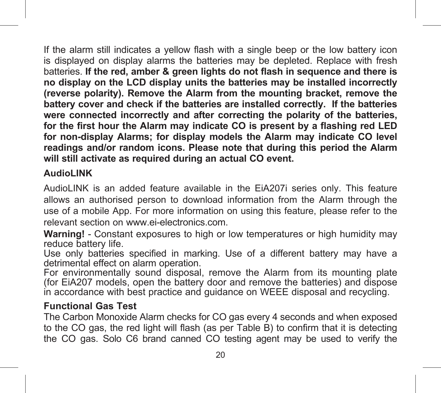If the alarm still indicates a yellow flash with a single beep or the low battery icon is displayed on display alarms the batteries may be depleted. Replace with fresh batteries. **If the red, amber & green lights do not flash in sequence and there is no display on the LCD display units the batteries may be installed incorrectly (reverse polarity). Remove the Alarm from the mounting bracket, remove the battery cover and check if the batteries are installed correctly. If the batteries were connected incorrectly and after correcting the polarity of the batteries, for the first hour the Alarm may indicate CO is present by a flashing red LED for non-display Alarms; for display models the Alarm may indicate CO level readings and/or random icons. Please note that during this period the Alarm will still activate as required during an actual CO event.**

#### **AudioLINK**

AudioLINK is an added feature available in the EiA207i series only. This feature allows an authorised person to download information from the Alarm through the use of a mobile App. For more information on using this feature, please refer to the relevant section on www.ei-electronics.com.

**Warning!** - Constant exposures to high or low temperatures or high humidity may reduce battery life.

Use only batteries specified in marking. Use of a different battery may have a detrimental effect on alarm operation.

For environmentally sound disposal, remove the Alarm from its mounting plate (for EiA207 models, open the battery door and remove the batteries) and dispose in accordance with best practice and guidance on WEEE disposal and recycling.

#### **Functional Gas Test**

The Carbon Monoxide Alarm checks for CO gas every 4 seconds and when exposed to the CO gas, the red light will flash (as per Table B) to confirm that it is detecting the CO gas. Solo C6 brand canned CO testing agent may be used to verify the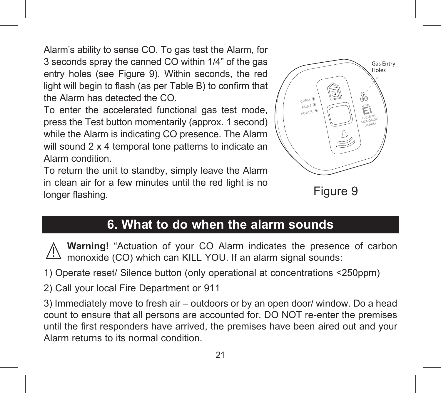Alarm's ability to sense CO. To gas test the Alarm, for 3 seconds spray the canned CO within 1/4" of the gas entry holes (see Figure 9). Within seconds, the red light will begin to flash (as per Table B) to confirm that the Alarm has detected the CO.

To enter the accelerated functional gas test mode, press the Test button momentarily (approx. 1 second) while the Alarm is indicating CO presence. The Alarm will sound 2 x 4 temporal tone patterns to indicate an Alarm condition.

To return the unit to standby, simply leave the Alarm in clean air for a few minutes until the red light is no longer flashing.



Figure 9

# **6. What to do when the alarm sounds**

**Warning!** "Actuation of your CO Alarm indicates the presence of carbon monoxide (CO) which can KILL YOU. If an alarm signal sounds:

1) Operate reset/ Silence button (only operational at concentrations <250ppm)

2) Call your local Fire Department or 911

3) Immediately move to fresh air – outdoors or by an open door/ window. Do a head count to ensure that all persons are accounted for. DO NOT re-enter the premises until the first responders have arrived, the premises have been aired out and your Alarm returns to its normal condition.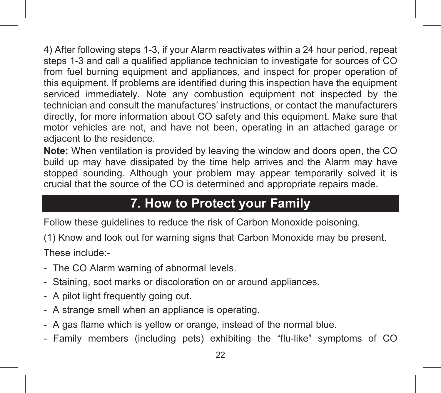4) After following steps 1-3, if your Alarm reactivates within a 24 hour period, repeat steps 1-3 and call a qualified appliance technician to investigate for sources of CO from fuel burning equipment and appliances, and inspect for proper operation of this equipment. If problems are identified during this inspection have the equipment serviced immediately. Note any combustion equipment not inspected by the technician and consult the manufactures' instructions, or contact the manufacturers directly, for more information about CO safety and this equipment. Make sure that motor vehicles are not, and have not been, operating in an attached garage or adjacent to the residence.

**Note:** When ventilation is provided by leaving the window and doors open, the CO build up may have dissipated by the time help arrives and the Alarm may have stopped sounding. Although your problem may appear temporarily solved it is crucial that the source of the CO is determined and appropriate repairs made. **7.** 

# **7. How to Protect your Family**

Follow these guidelines to reduce the risk of Carbon Monoxide poisoning.

(1) Know and look out for warning signs that Carbon Monoxide may be present. These include:-

- The CO Alarm warning of abnormal levels.
- Staining, soot marks or discoloration on or around appliances.
- A pilot light frequently going out.
- A strange smell when an appliance is operating.
- A gas flame which is yellow or orange, instead of the normal blue.
- Family members (including pets) exhibiting the "flu-like" symptoms of CO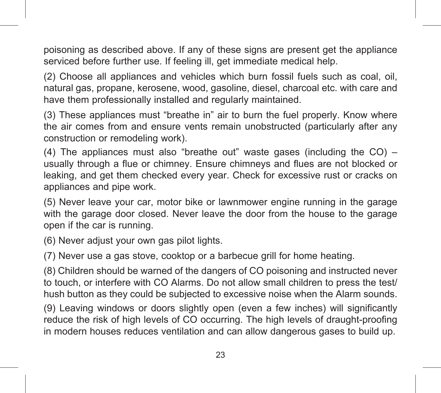poisoning as described above. If any of these signs are present get the appliance serviced before further use. If feeling ill, get immediate medical help.

(2) Choose all appliances and vehicles which burn fossil fuels such as coal, oil, natural gas, propane, kerosene, wood, gasoline, diesel, charcoal etc. with care and have them professionally installed and regularly maintained.

(3) These appliances must "breathe in" air to burn the fuel properly. Know where the air comes from and ensure vents remain unobstructed (particularly after any construction or remodeling work).

(4) The appliances must also "breathe out" waste gases (including the  $CO$ ) – usually through a flue or chimney. Ensure chimneys and flues are not blocked or leaking, and get them checked every year. Check for excessive rust or cracks on appliances and pipe work.

(5) Never leave your car, motor bike or lawnmower engine running in the garage with the garage door closed. Never leave the door from the house to the garage open if the car is running.

(6) Never adjust your own gas pilot lights.

(7) Never use a gas stove, cooktop or a barbecue grill for home heating.

(8) Children should be warned of the dangers of CO poisoning and instructed never to touch, or interfere with CO Alarms. Do not allow small children to press the test/ hush button as they could be subjected to excessive noise when the Alarm sounds.

(9) Leaving windows or doors slightly open (even a few inches) will significantly reduce the risk of high levels of CO occurring. The high levels of draught-proofing in modern houses reduces ventilation and can allow dangerous gases to build up.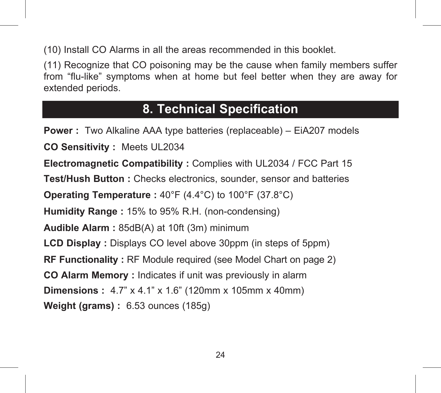(10) Install CO Alarms in all the areas recommended in this booklet.

(11) Recognize that CO poisoning may be the cause when family members suffer from "flu-like" symptoms when at home but feel better when they are away for extended periods.

### **8. Technical Specification**

**Power :** Two Alkaline AAA type batteries (replaceable) – EiA207 models **CO Sensitivity :** Meets UL2034 **Electromagnetic Compatibility :** Complies with UL2034 / FCC Part 15 **Test/Hush Button :** Checks electronics, sounder, sensor and batteries **Operating Temperature :** 40°F (4.4°C) to 100°F (37.8°C) **Humidity Range :** 15% to 95% R.H. (non-condensing) **Audible Alarm :** 85dB(A) at 10ft (3m) minimum **LCD Display :** Displays CO level above 30ppm (in steps of 5ppm) **RF Functionality :** RF Module required (see Model Chart on page 2) **CO Alarm Memory :** Indicates if unit was previously in alarm **Dimensions :** 4.7" x 4.1" x 1.6" (120mm x 105mm x 40mm) **Weight (grams) :** 6.53 ounces (185g)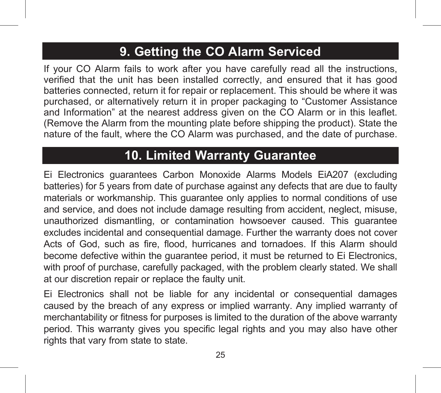# **9. Getting the CO Alarm Serviced**

If your CO Alarm fails to work after you have carefully read all the instructions, verified that the unit has been installed correctly, and ensured that it has good batteries connected, return it for repair or replacement. This should be where it was purchased, or alternatively return it in proper packaging to "Customer Assistance and Information" at the nearest address given on the CO Alarm or in this leaflet. (Remove the Alarm from the mounting plate before shipping the product). State the nature of the fault, where the CO Alarm was purchased, and the date of purchase.

## **10. Limited Warranty Guarantee**

Ei Electronics guarantees Carbon Monoxide Alarms Models EiA207 (excluding batteries) for 5 years from date of purchase against any defects that are due to faulty materials or workmanship. This guarantee only applies to normal conditions of use and service, and does not include damage resulting from accident, neglect, misuse, unauthorized dismantling, or contamination howsoever caused. This guarantee excludes incidental and consequential damage. Further the warranty does not cover Acts of God, such as fire, flood, hurricanes and tornadoes. If this Alarm should become defective within the guarantee period, it must be returned to Ei Electronics, with proof of purchase, carefully packaged, with the problem clearly stated. We shall at our discretion repair or replace the faulty unit.

Ei Electronics shall not be liable for any incidental or consequential damages caused by the breach of any express or implied warranty. Any implied warranty of merchantability or fitness for purposes is limited to the duration of the above warranty period. This warranty gives you specific legal rights and you may also have other rights that vary from state to state.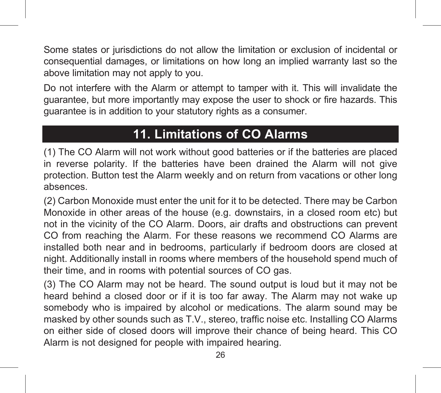Some states or jurisdictions do not allow the limitation or exclusion of incidental or consequential damages, or limitations on how long an implied warranty last so the above limitation may not apply to you.

Do not interfere with the Alarm or attempt to tamper with it. This will invalidate the guarantee, but more importantly may expose the user to shock or fire hazards. This guarantee is in addition to your statutory rights as a consumer.

# **11. Limitations of CO Alarms**

(1) The CO Alarm will not work without good batteries or if the batteries are placed in reverse polarity. If the batteries have been drained the Alarm will not give protection. Button test the Alarm weekly and on return from vacations or other long absences.

(2) Carbon Monoxide must enter the unit for it to be detected. There may be Carbon Monoxide in other areas of the house (e.g. downstairs, in a closed room etc) but not in the vicinity of the CO Alarm. Doors, air drafts and obstructions can prevent CO from reaching the Alarm. For these reasons we recommend CO Alarms are installed both near and in bedrooms, particularly if bedroom doors are closed at night. Additionally install in rooms where members of the household spend much of their time, and in rooms with potential sources of CO gas.

(3) The CO Alarm may not be heard. The sound output is loud but it may not be heard behind a closed door or if it is too far away. The Alarm may not wake up somebody who is impaired by alcohol or medications. The alarm sound may be masked by other sounds such as T.V., stereo, traffic noise etc. Installing CO Alarms on either side of closed doors will improve their chance of being heard. This CO Alarm is not designed for people with impaired hearing.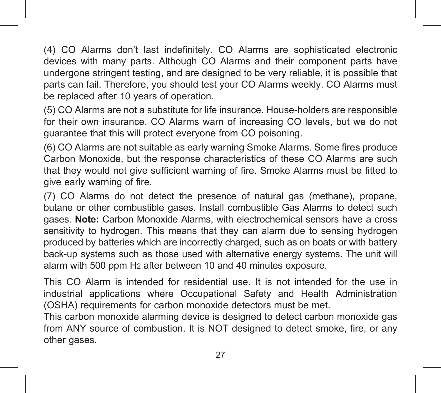(4) CO Alarms don't last indefinitely. CO Alarms are sophisticated electronic devices with many parts. Although CO Alarms and their component parts have undergone stringent testing, and are designed to be very reliable, it is possible that parts can fail. Therefore, you should test your CO Alarms weekly. CO Alarms must be replaced after 10 years of operation.

(5) CO Alarms are not a substitute for life insurance. House-holders are responsible for their own insurance. CO Alarms warn of increasing CO levels, but we do not guarantee that this will protect everyone from CO poisoning.

(6) CO Alarms are not suitable as early warning Smoke Alarms. Some fires produce Carbon Monoxide, but the response characteristics of these CO Alarms are such that they would not give sufficient warning of fire. Smoke Alarms must be fitted to give early warning of fire.

(7) CO Alarms do not detect the presence of natural gas (methane), propane, butane or other combustible gases. Install combustible Gas Alarms to detect such gases. **Note:** Carbon Monoxide Alarms, with electrochemical sensors have a cross sensitivity to hydrogen. This means that they can alarm due to sensing hydrogen produced by batteries which are incorrectly charged, such as on boats or with battery back-up systems such as those used with alternative energy systems. The unit will alarm with 500 ppm H2 after between 10 and 40 minutes exposure.

This CO Alarm is intended for residential use. It is not intended for the use in industrial applications where Occupational Safety and Health Administration (OSHA) requirements for carbon monoxide detectors must be met.

This carbon monoxide alarming device is designed to detect carbon monoxide gas from ANY source of combustion. It is NOT designed to detect smoke, fire, or any other gases.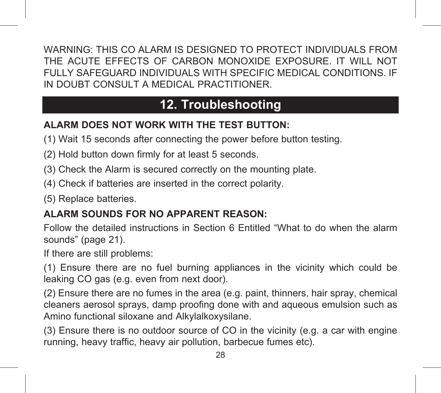WARNING: THIS CO ALARM IS DESIGNED TO PROTECT INDIVIDUALS FROM THE ACUTE EFFECTS OF CARBON MONOXIDE EXPOSURE. IT WILL NOT FULLY SAFEGUARD INDIVIDUALS WITH SPECIFIC MEDICAL CONDITIONS. IF IN DOUBT CONSULT A MEDICAL PRACTITIONER.

# **12. Troubleshooting**

### **ALARM DOES NOT WORK WITH THE TEST BUTTON:**

(1) Wait 15 seconds after connecting the power before button testing.

- (2) Hold button down firmly for at least 5 seconds.
- (3) Check the Alarm is secured correctly on the mounting plate.
- (4) Check if batteries are inserted in the correct polarity.
- (5) Replace batteries.

### **ALARM SOUNDS FOR NO APPARENT REASON:**

Follow the detailed instructions in Section 6 Entitled "What to do when the alarm sounds" (page 21).

If there are still problems:

(1) Ensure there are no fuel burning appliances in the vicinity which could be leaking CO gas (e.g. even from next door).

(2) Ensure there are no fumes in the area (e.g. paint, thinners, hair spray, chemical cleaners aerosol sprays, damp proofing done with and aqueous emulsion such as Amino functional siloxane and Alkylalkoxysilane.

(3) Ensure there is no outdoor source of CO in the vicinity (e.g. a car with engine running, heavy traffic, heavy air pollution, barbecue fumes etc).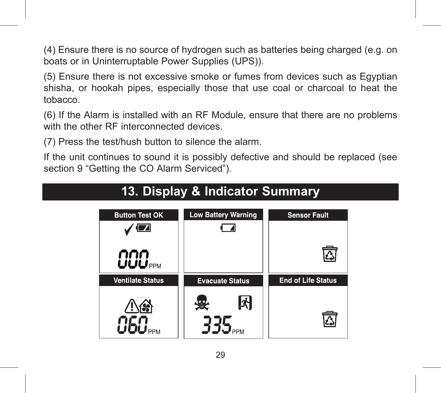(4) Ensure there is no source of hydrogen such as batteries being charged (e.g. on boats or in Uninterruptable Power Supplies (UPS)).

(5) Ensure there is not excessive smoke or fumes from devices such as Egyptian shisha, or hookah pipes, especially those that use coal or charcoal to heat the tobacco.

(6) If the Alarm is installed with an RF Module, ensure that there are no problems with the other RF interconnected devices.

(7) Press the test/hush button to silence the alarm.

If the unit continues to sound it is possibly defective and should be replaced (see section 9 "Getting the CO Alarm Serviced").



# **13. Display & Indicator Summary**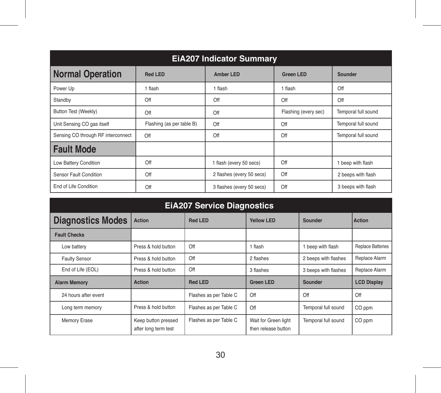| <b>EIA207 Indicator Summary</b>    |                           |                           |                      |                     |  |
|------------------------------------|---------------------------|---------------------------|----------------------|---------------------|--|
| <b>Normal Operation</b>            | <b>Red LED</b>            | Amber LED                 | <b>Green LED</b>     | Sounder             |  |
| Power Up                           | 1 flash                   | 1 flash                   | 1 flash              | Off                 |  |
| Standby                            | Off                       | Off                       | Off                  | Off                 |  |
| Button Test (Weekly)               | Off                       | $\Omega$ ff               | Flashing (every sec) | Temporal full sound |  |
| Unit Sensing CO gas itself         | Flashing (as per table B) | Off                       | Off                  | Temporal full sound |  |
| Sensing CO through RF interconnect | Off                       | $\Omega$ ff               | Off                  | Temporal full sound |  |
| <b>Fault Mode</b>                  |                           |                           |                      |                     |  |
| Low Battery Condition              | Off                       | 1 flash (every 50 secs)   | Off                  | 1 beep with flash   |  |
| Sensor Fault Condition             | Off                       | 2 flashes (every 50 secs) | Off                  | 2 beeps with flash  |  |
| Fnd of Life Condition              | Off                       | 3 flashes (every 50 secs) | Off                  | 3 beeps with flash  |  |

| <b>EIA207 Service Diagnostics</b> |                                             |                        |                                             |                      |                          |
|-----------------------------------|---------------------------------------------|------------------------|---------------------------------------------|----------------------|--------------------------|
| <b>Diagnostics Modes</b>          | <b>Action</b>                               | <b>Red LED</b>         | <b>Yellow LED</b>                           | Sounder              | Action                   |
| <b>Fault Checks</b>               |                                             |                        |                                             |                      |                          |
| Low battery                       | Press & hold button                         | Off                    | 1 flash                                     | 1 beep with flash    | <b>Replace Batteries</b> |
| <b>Faulty Sensor</b>              | Press & hold button                         | Off                    | 2 flashes                                   | 2 beeps with flashes | Replace Alarm            |
| End of Life (EOL)                 | Press & hold button                         | Off                    | 3 flashes                                   | 3 beeps with flashes | Replace Alarm            |
| <b>Alarm Memory</b>               | Action                                      | <b>Red LED</b>         | <b>Green LED</b>                            | Sounder              | <b>LCD Display</b>       |
| 24 hours after event              |                                             | Flashes as per Table C | $\bigcirc$ ff                               | Off                  | Off                      |
| Long term memory                  | Press & hold button                         | Flashes as per Table C | $\Omega$ ff                                 | Temporal full sound  | CO ppm                   |
| Memory Erase                      | Keep button pressed<br>after long term test | Flashes as per Table C | Wait for Green light<br>then release button | Temporal full sound  | CO ppm                   |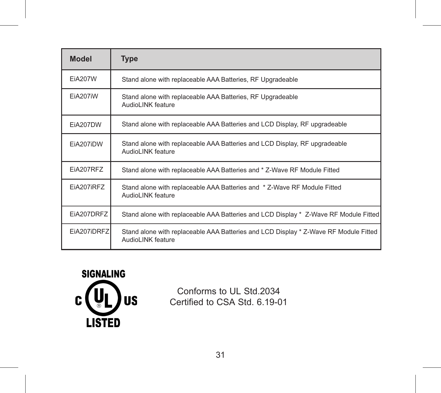| <b>Model</b>   | <b>Type</b>                                                                                               |
|----------------|-----------------------------------------------------------------------------------------------------------|
| <b>EiA207W</b> | Stand alone with replaceable AAA Batteries, RF Upgradeable                                                |
| FiA207iW       | Stand alone with replaceable AAA Batteries, RF Upgradeable<br>AudioLINK feature                           |
| EiA207DW       | Stand alone with replaceable AAA Batteries and LCD Display, RF upgradeable                                |
| EiA207iDW      | Stand alone with replaceable AAA Batteries and LCD Display, RF upgradeable<br>AudioLINK feature           |
| EiA207RFZ      | Stand alone with replaceable AAA Batteries and * Z-Wave RF Module Fitted                                  |
| EiA207iRFZ     | Stand alone with replaceable AAA Batteries and * Z-Wave RF Module Fitted<br>AudioLINK feature             |
| EiA207DRFZ     | Stand alone with replaceable AAA Batteries and LCD Display * Z-Wave RF Module Fitted                      |
| EiA207iDRFZ    | Stand alone with replaceable AAA Batteries and LCD Display * Z-Wave RF Module Fitted<br>AudioLINK feature |



Conforms to UL Std.2034 Certified to CSA Std. 6.19-01